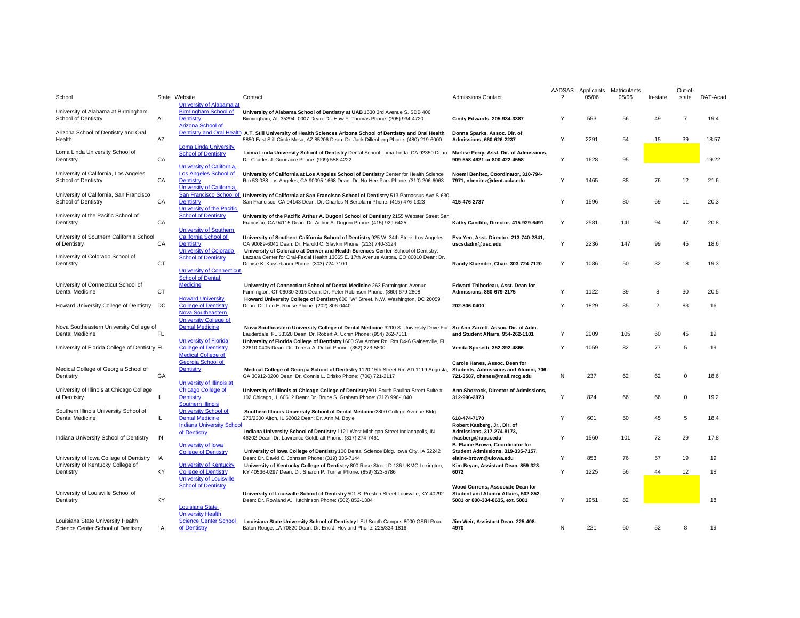| School                                                                  |           | State Website                                                                                             | Contact                                                                                                                                                                                                                                      | <b>Admissions Contact</b>                                                                                           | AADSAS<br>$\mathcal{P}$ | Applicants<br>05/06 | Matriculants<br>05/06 | In-state       | Out-of-<br>state | DAT-Acad |
|-------------------------------------------------------------------------|-----------|-----------------------------------------------------------------------------------------------------------|----------------------------------------------------------------------------------------------------------------------------------------------------------------------------------------------------------------------------------------------|---------------------------------------------------------------------------------------------------------------------|-------------------------|---------------------|-----------------------|----------------|------------------|----------|
| University of Alabama at Birmingham<br>School of Dentistry              | AL        | University of Alabama at<br><b>Birmingham School of</b><br>Dentistry<br>Arizona School of                 | University of Alabama School of Dentistry at UAB 1530 3rd Avenue S. SDB 406<br>Birmingham, AL 35294- 0007 Dean: Dr. Huw F. Thomas Phone: (205) 934-4720                                                                                      | Cindy Edwards, 205-934-3387                                                                                         | Y                       | 553                 | 56                    | 49             | $\overline{7}$   | 19.4     |
| Arizona School of Dentistry and Oral<br>Health                          | AZ        |                                                                                                           | Dentistry and Oral Health A.T. Still University of Health Sciences Arizona School of Dentistry and Oral Health<br>5850 East Still Circle Mesa, AZ 85206 Dean: Dr. Jack Dillenberg Phone: (480) 219-6000                                      | Donna Sparks, Assoc. Dir. of<br>Admissions, 660-626-2237                                                            | Y                       | 2291                | 54                    | 15             | 39               | 18.57    |
| Loma Linda University School of<br>Dentistry                            | CA        | <b>Loma Linda University</b><br><b>School of Dentistry</b>                                                | Loma Linda University School of Dentistry Dental School Loma Linda, CA 92350 Dean:<br>Dr. Charles J. Goodacre Phone: (909) 558-4222                                                                                                          | Marlise Perry, Asst. Dir. of Admissions,<br>909-558-4621 or 800-422-4558                                            | Y                       | 1628                | 95                    |                |                  | 19.22    |
| University of California, Los Angeles<br>School of Dentistry            | CA        | <b>University of California</b><br>Los Angeles School of<br><b>Dentistry</b><br>University of California. | University of California at Los Angeles School of Dentistry Center for Health Science<br>Rm 53-038 Los Angeles, CA 90095-1668 Dean: Dr. No-Hee Park Phone: (310) 206-6063                                                                    | Noemi Benitez, Coordinator, 310-794-<br>7971, nbenitez@dent.ucla.edu                                                | Y                       | 1465                | 88                    | 76             | 12               | 21.6     |
| University of California, San Francisco<br>School of Dentistry          | CA        | San Francisco School of<br><b>Dentistry</b><br>University of the Pacific                                  | University of California at San Francisco School of Dentistry 513 Parnassus Ave S-630<br>San Francisco, CA 94143 Dean: Dr. Charles N Bertolami Phone: (415) 476-1323                                                                         | 415-476-2737                                                                                                        | Y                       | 1596                | 80                    | 69             | 11               | 20.3     |
| University of the Pacific School of<br>Dentistry                        | CA        | <b>School of Dentistry</b><br><b>University of Southern</b>                                               | University of the Pacific Arthur A. Dugoni School of Dentistry 2155 Webster Street San<br>Francisco, CA 94115 Dean: Dr. Arthur A. Dugoni Phone: (415) 929-6425                                                                               | Kathy Candito, Director, 415-929-6491                                                                               | Υ                       | 2581                | 141                   | 94             | 47               | 20.8     |
| University of Southern California School<br>of Dentistry                | CA        | California School of<br><b>Dentistry</b><br><b>University of Colorado</b>                                 | University of Southern California School of Dentistry 925 W. 34th Street Los Angeles,<br>CA 90089-6041 Dean: Dr. Harold C. Slavkin Phone: (213) 740-3124<br>University of Colorado at Denver and Health Sciences Center School of Dentistry; | Eva Yen, Asst. Director, 213-740-2841,<br>uscsdadm@usc.edu                                                          | Υ                       | 2236                | 147                   | 99             | 45               | 18.6     |
| University of Colorado School of<br>Dentistry                           | CT        | <b>School of Dentistry</b><br><b>University of Connecticut</b>                                            | Lazzara Center for Oral-Facial Health 13065 E. 17th Avenue Aurora, CO 80010 Dean: Dr.<br>Denise K. Kassebaum Phone: (303) 724-7100                                                                                                           | Randy Kluender, Chair, 303-724-7120                                                                                 | Υ                       | 1086                | 50                    | 32             | 18               | 19.3     |
|                                                                         |           | <b>School of Dental</b>                                                                                   |                                                                                                                                                                                                                                              |                                                                                                                     |                         |                     |                       |                |                  |          |
| University of Connecticut School of<br><b>Dental Medicine</b>           | <b>CT</b> | <b>Medicine</b>                                                                                           | University of Connecticut School of Dental Medicine 263 Farmington Avenue<br>Farmington, CT 06030-3915 Dean: Dr. Peter Robinson Phone: (860) 679-2808                                                                                        | Edward Thibodeau, Asst. Dean for<br>Admissions, 860-679-2175                                                        | Y                       | 1122                | 39                    | 8              | 30               | 20.5     |
| Howard University College of Dentistry DC                               |           | <b>Howard University</b><br><b>College of Dentistry</b><br>Nova Southeastern                              | Howard University College of Dentistry 600 "W" Street, N.W. Washington, DC 20059<br>Dean: Dr. Leo E. Rouse Phone: (202) 806-0440                                                                                                             | 202-806-0400                                                                                                        | Y                       | 1829                | 85                    | $\overline{2}$ | 83               | 16       |
|                                                                         |           | <b>University College of</b><br><b>Dental Medicine</b>                                                    |                                                                                                                                                                                                                                              |                                                                                                                     |                         |                     |                       |                |                  |          |
| Nova Southeastern University College of<br>Dental Medicine              | FL        |                                                                                                           | Nova Southeastern University College of Dental Medicine 3200 S. University Drive Fort Su-Ann Zarrett, Assoc. Dir. of Adm.<br>Lauderdale, FL 33328 Dean: Dr. Robert A. Uchin Phone: (954) 262-7311                                            | and Student Affairs, 954-262-1101                                                                                   | Y                       | 2009                | 105                   | 60             | 45               | 19       |
| University of Florida College of Dentistry FL                           |           | <b>University of Florida</b><br><b>College of Dentistry</b><br><b>Medical College of</b>                  | University of Florida College of Dentistry 1600 SW Archer Rd. Rm D4-6 Gainesville, FL<br>32610-0405 Dean: Dr. Teresa A. Dolan Phone: (352) 273-5800                                                                                          | Venita Sposetti, 352-392-4866                                                                                       | Y                       | 1059                | 82                    | 77             | 5                | 19       |
| Medical College of Georgia School of<br>Dentistry                       | GA        | Georgia School of<br><b>Dentistry</b>                                                                     | Medical College of Georgia School of Dentistry 1120 15th Street Rm AD 1119 Augusta,<br>GA 30912-0200 Dean: Dr. Connie L. Drisko Phone: (706) 721-2117                                                                                        | Carole Hanes, Assoc. Dean for<br>Students, Admissions and Alumni, 706-<br>721-3587, chanes@mail.mcg.edu             | N                       | 237                 | 62                    | 62             | $\Omega$         | 18.6     |
| University of Illinois at Chicago College<br>of Dentistry               | IL        | University of Illinois at<br>Chicago College of<br><b>Dentistry</b>                                       | University of Illinois at Chicago College of Dentistry 801 South Paulina Street Suite #<br>102 Chicago, IL 60612 Dean: Dr. Bruce S. Graham Phone: (312) 996-1040                                                                             | Ann Shorrock, Director of Admissions,<br>312-996-2873                                                               | Y                       | 824                 | 66                    | 66             | $\Omega$         | 19.2     |
| Southern Illinois University School of<br><b>Dental Medicine</b>        | IL        | <b>Southern Illinois</b><br><b>University School of</b><br><b>Dental Medicine</b>                         | Southern Illinois University School of Dental Medicine 2800 College Avenue Bldg<br>273/2300 Alton, IL 62002 Dean: Dr. Ann M. Boyle                                                                                                           | 618-474-7170                                                                                                        | Y                       | 601                 | 50                    | 45             | 5                | 18.4     |
| Indiana University School of Dentistry                                  | IN        | <b>Indiana University School</b><br>of Dentistry<br>University of Iowa                                    | Indiana University School of Dentistry 1121 West Michigan Street Indianapolis, IN<br>46202 Dean: Dr. Lawrence Goldblatt Phone: (317) 274-7461                                                                                                | Robert Kasberg, Jr., Dir. of<br>Admissions, 317-274-8173,<br>rkasberg@iupui.edu<br>B. Elaine Brown, Coordinator for | Y                       | 1560                | 101                   | 72             | 29               | 17.8     |
| University of Iowa College of Dentistry                                 | IA        | <b>College of Dentistry</b>                                                                               | University of Iowa College of Dentistry 100 Dental Science Bldg. Iowa City, IA 52242<br>Dean: Dr. David C. Johnsen Phone: (319) 335-7144                                                                                                     | Student Admissions, 319-335-7157,<br>elaine-brown@uiowa.edu                                                         | Y                       | 853                 | 76                    | 57             | 19               | 19       |
| University of Kentucky College of<br>Dentistry                          | KY        | <b>University of Kentucky</b><br><b>College of Dentistry</b><br><b>University of Louisville</b>           | University of Kentucky College of Dentistry 800 Rose Street D 136 UKMC Lexington,<br>KY 40536-0297 Dean: Dr. Sharon P. Turner Phone: (859) 323-5786                                                                                          | Kim Bryan, Assistant Dean, 859-323-<br>6072                                                                         | Y                       | 1225                | 56                    | 44             | 12               | 18       |
| University of Louisville School of<br>Dentistry                         | KY        | <b>School of Dentistry</b><br>Louisiana State<br><b>University Health</b>                                 | University of Louisville School of Dentistry 501 S. Preston Street Louisville, KY 40292<br>Dean: Dr. Rowland A. Hutchinson Phone: (502) 852-1304                                                                                             | Wood Currens, Associate Dean for<br>Student and Alumni Affairs, 502-852-<br>5081 or 800-334-8635, ext. 5081         | Y                       | 1951                | 82                    |                |                  | 18       |
| Louisiana State University Health<br>Science Center School of Dentistry | LA        | <b>Science Center School</b><br>of Dentistry                                                              | Louisiana State University School of Dentistry LSU South Campus 8000 GSRI Road<br>Baton Rouge, LA 70820 Dean: Dr. Eric J. Hovland Phone: 225/334-1816                                                                                        | Jim Weir, Assistant Dean, 225-408-<br>4970                                                                          | N                       | 221                 | 60                    | 52             | 8                | 19       |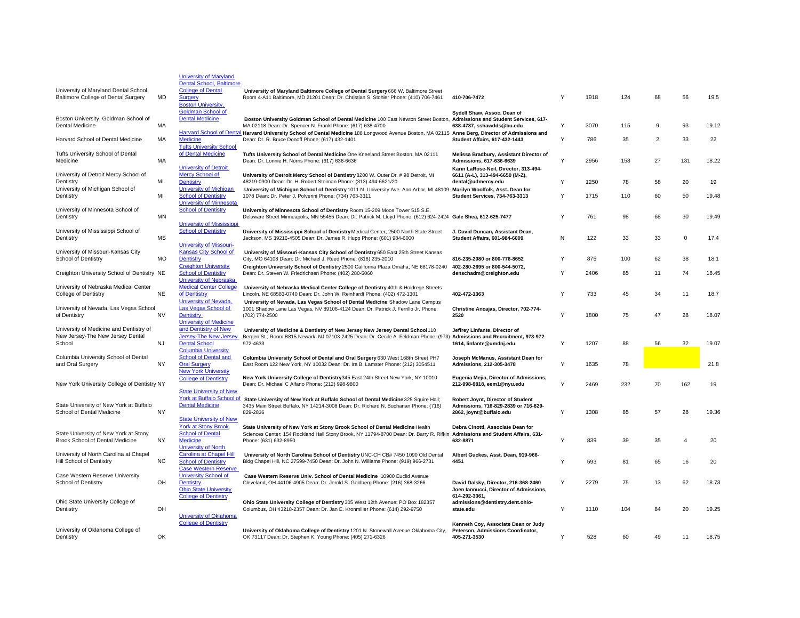|                                                                                       |           | <b>University of Maryland</b><br><b>Dental School, Baltimore</b>                            |                                                                                                                                                                                                     |                                                                                                   |   |      |     |                |                |       |
|---------------------------------------------------------------------------------------|-----------|---------------------------------------------------------------------------------------------|-----------------------------------------------------------------------------------------------------------------------------------------------------------------------------------------------------|---------------------------------------------------------------------------------------------------|---|------|-----|----------------|----------------|-------|
| University of Maryland Dental School,<br>Baltimore College of Dental Surgery          | MD        | <b>College of Dental</b><br><b>Surgery</b>                                                  | University of Maryland Baltimore College of Dental Surgery 666 W. Baltimore Street<br>Room 4-A11 Baltimore, MD 21201 Dean: Dr. Christian S. Stohler Phone: (410) 706-7461                           | 410-706-7472                                                                                      | Y | 1918 | 124 | 68             | 56             | 19.5  |
| Boston University, Goldman School of                                                  |           | <b>Boston University,</b><br><b>Goldman School of</b><br><b>Dental Medicine</b>             |                                                                                                                                                                                                     | Sydell Shaw, Assoc. Dean of                                                                       |   |      |     |                |                |       |
| Dental Medicine                                                                       | МA        |                                                                                             | Boston University Goldman School of Dental Medicine 100 East Newton Street Boston, Admissions and Student Services, 617-<br>MA 02118 Dean: Dr. Spencer N. Frankl Phone: (617) 638-4700              | 638-4787, sshawdds@bu.edu                                                                         | Υ | 3070 | 115 | 9              | 93             | 19.12 |
| Harvard School of Dental Medicine                                                     | MA        | <b>Medicine</b><br><b>Tufts University School</b>                                           | Harvard School of Dental Harvard University School of Dental Medicine 188 Longwood Avenue Boston, MA 02115 Anne Berg, Director of Admissions and<br>Dean: Dr. R. Bruce Donoff Phone: (617) 432-1401 | <b>Student Affairs, 617-432-1443</b>                                                              | Υ | 786  | 35  | $\overline{2}$ | 33             | 22    |
| Tufts University School of Dental<br>Medicine                                         | MA        | of Dental Medicine                                                                          | Tufts University School of Dental Medicine One Kneeland Street Boston, MA 02111<br>Dean: Dr. Lonnie H. Norris Phone: (617) 636-6636                                                                 | Melissa Bradbury, Assistant Director of<br>Admissions, 617-636-6639                               |   | 2956 | 158 | 27             | 131            | 18.22 |
| University of Detroit Mercy School of<br>Dentistry                                    | MI        | <b>University of Detroit</b><br><b>Mercy School of</b><br><b>Dentistry</b>                  | University of Detroit Mercy School of Dentistry 8200 W. Outer Dr. # 98 Detroit, MI<br>48219-0900 Dean: Dr. H. Robert Steiman Phone: (313) 494-6621/20                                               | Karin LaRose-Neil, Director, 313-494-<br>6611 (A-L), 313-494-6650 (M-Z),<br>dental@udmercy.edu    | Y | 1250 | 78  | 58             | 20             | 19    |
| University of Michigan School of<br>Dentistry                                         | MI        | <b>University of Michigan</b><br><b>School of Dentistry</b>                                 | University of Michigan School of Dentistry 1011 N. University Ave. Ann Arbor, MI 48109- Marilyn Woolfolk, Asst. Dean for<br>1078 Dean: Dr. Peter J. Polverini Phone: (734) 763-3311                 | <b>Student Services, 734-763-3313</b>                                                             | Y | 1715 | 110 | 60             | 50             | 19.48 |
| University of Minnesota School of                                                     |           | <b>University of Minnesota</b><br><b>School of Dentistry</b>                                | University of Minnesota School of Dentistry Room 15-209 Moos Tower 515 S.E.                                                                                                                         |                                                                                                   |   |      |     |                |                |       |
| Dentistry                                                                             | MN        | <b>University of Mississippi</b>                                                            | Delaware Street Minneapolis, MN 55455 Dean: Dr. Patrick M. Lloyd Phone: (612) 624-2424 Gale Shea, 612-625-7477                                                                                      |                                                                                                   | Y | 761  | 98  | 68             | 30             | 19.49 |
| University of Mississippi School of<br>Dentistry                                      | MS        | <b>School of Dentistry</b><br><b>University of Missouri-</b>                                | University of Mississippi School of Dentistry Medical Center; 2500 North State Street<br>Jackson, MS 39216-4505 Dean: Dr. James R. Hupp Phone: (601) 984-6000                                       | J. David Duncan, Assistant Dean,<br><b>Student Affairs, 601-984-6009</b>                          | N | 122  | 33  | 33             | $\mathbf 0$    | 17.4  |
| University of Missouri-Kansas City<br>School of Dentistry                             | MO        | Kansas City School of<br><b>Dentistry</b>                                                   | University of Missouri-Kansas City School of Dentistry 650 East 25th Street Kansas<br>City, MO 64108 Dean: Dr. Michael J. Reed Phone: (816) 235-2010                                                | 816-235-2080 or 800-776-8652                                                                      |   | 875  | 100 | 62             | 38             | 18.1  |
| Creighton University School of Dentistry NE                                           |           | <b>Creighton University</b><br><b>School of Dentistry</b>                                   | Creighton University School of Dentistry 2500 California Plaza Omaha, NE 68178-0240<br>Dean: Dr. Steven W. Friedrichsen Phone: (402) 280-5060                                                       | 402-280-2695 or 800-544-5072,<br>denschadm@creighton.edu                                          |   | 2406 | 85  | 11             | 74             | 18.45 |
| University of Nebraska Medical Center<br>College of Dentistry                         | <b>NE</b> | <b>University of Nebraska</b><br><b>Medical Center College</b><br>of Dentistry              | University of Nebraska Medical Center College of Dentistry 40th & Holdrege Streets<br>Lincoln, NE 68583-0740 Dean: Dr. John W. Reinhardt Phone: (402) 472-1301                                      | 402-472-1363                                                                                      | Υ | 733  | 45  | 34             | 11             | 18.7  |
| University of Nevada, Las Vegas School                                                |           | University of Nevada.<br>Las Vegas School of                                                | University of Nevada, Las Vegas School of Dental Medicine Shadow Lane Campus<br>1001 Shadow Lane Las Vegas, NV 89106-4124 Dean: Dr. Patrick J. Ferrillo Jr. Phone:                                  | Christine Ancajas, Director, 702-774-                                                             |   |      |     |                |                |       |
| of Dentistry                                                                          | <b>NV</b> | <b>Dentistry</b><br><b>University of Medicine</b><br>and Dentistry of New                   | (702) 774-2500                                                                                                                                                                                      | 2520                                                                                              | Y | 1800 | 75  | 47             | 28             | 18.07 |
| University of Medicine and Dentistry of<br>New Jersey-The New Jersey Dental<br>School | <b>NJ</b> | Jersey-The New Jersey<br><b>Dental School</b>                                               | University of Medicine & Dentistry of New Jersey New Jersey Dental School110<br>Bergen St.; Room B815 Newark, NJ 07103-2425 Dean: Dr. Cecile A. Feldman Phone: (973)<br>972-4633                    | Jeffrey Linfante, Director of<br>Admissions and Recruitment, 973-972-<br>1614, linfante@umdnj.edu |   | 1207 | 88  | 56             | 32             | 19.07 |
| Columbia University School of Dental<br>and Oral Surgery                              | NY        | <b>Columbia University</b><br><b>School of Dental and</b><br><b>Oral Surgery</b>            | Columbia University School of Dental and Oral Surgery 630 West 168th Street PH7<br>East Room 122 New York, NY 10032 Dean: Dr. Ira B. Lamster Phone: (212) 3054511                                   | Joseph McManus, Assistant Dean for<br>Admissions, 212-305-3478                                    | Υ | 1635 | 78  |                |                | 21.8  |
| New York University College of Dentistry NY                                           |           | <b>New York University</b><br><b>College of Dentistry</b>                                   | New York University College of Dentistry 345 East 24th Street New York, NY 10010<br>Dean: Dr. Michael C Alfano Phone: (212) 998-9800                                                                | Eugenia Mejia, Director of Admissions,<br>212-998-9818, eem1@nyu.edu                              |   | 2469 | 232 | 70             | 162            | 19    |
|                                                                                       |           | <b>State University of New</b><br>York at Buffalo School of                                 | State University of New York at Buffalo School of Dental Medicine 325 Squire Hall;                                                                                                                  | Robert Joynt, Director of Student                                                                 |   |      |     |                |                |       |
| State University of New York at Buffalo<br>School of Dental Medicine                  | <b>NY</b> | <b>Dental Medicine</b>                                                                      | 3435 Main Street Buffalo, NY 14214-3008 Dean: Dr. Richard N. Buchanan Phone: (716)<br>829-2836                                                                                                      | Admissions, 716-829-2839 or 716-829-<br>2862, joynt@buffalo.edu                                   | Y | 1308 | 85  | 57             | 28             | 19.36 |
|                                                                                       |           | <b>State University of New</b><br><b>York at Stony Brook</b>                                | State University of New York at Stony Brook School of Dental Medicine Health                                                                                                                        | Debra Cinotti, Associate Dean for                                                                 |   |      |     |                |                |       |
| State University of New York at Stony<br>Brook School of Dental Medicine              | <b>NY</b> | <b>School of Dental</b><br>Medicine<br>University of North                                  | Sciences Center; 154 Rockland Hall Stony Brook, NY 11794-8700 Dean: Dr. Barry R. Rifkin Admissions and Student Affairs, 631-<br>Phone: (631) 632-8950                                               | 632-8871                                                                                          | Y | 839  | 39  | 35             | $\overline{4}$ | 20    |
| University of North Carolina at Chapel<br>Hill School of Dentistry                    | <b>NC</b> | <b>Carolina at Chapel Hill</b><br><b>School of Dentistry</b><br><b>Case Western Reserve</b> | University of North Carolina School of Dentistry UNC-CH CB# 7450 1090 Old Dental<br>Bldg Chapel Hill, NC 27599-7450 Dean: Dr. John N. Williams Phone: (919) 966-2731                                | Albert Guckes, Asst. Dean, 919-966-<br>4451                                                       | Y | 593  | 81  | 65             | 16             | 20    |
| Case Western Reserve University<br>School of Dentistry                                | OH        | <b>University School of</b><br><b>Dentistry</b>                                             | Case Western Reserve Univ. School of Dental Medicine 10900 Euclid Avenue<br>Cleveland, OH 44106-4905 Dean: Dr. Jerold S. Goldberg Phone: (216) 368-3266                                             | David Dalsky, Director, 216-368-2460                                                              | Υ | 2279 | 75  | 13             | 62             | 18.73 |
|                                                                                       |           | <b>Ohio State University</b><br><b>College of Dentistry</b>                                 |                                                                                                                                                                                                     | Joen lannucci, Director of Admissions,<br>614-292-3361,                                           |   |      |     |                |                |       |
| Ohio State University College of<br>Dentistry                                         | OH        | <b>University of Oklahoma</b>                                                               | Ohio State University College of Dentistry 305 West 12th Avenue; PO Box 182357<br>Columbus, OH 43218-2357 Dean: Dr. Jan E. Kronmiller Phone: (614) 292-9750                                         | admissions@dentistry.dent.ohio-<br>state.edu                                                      | Y | 1110 | 104 | 84             | 20             | 19.25 |
| University of Oklahoma College of                                                     |           | <b>College of Dentistry</b>                                                                 | University of Oklahoma College of Dentistry 1201 N. Stonewall Avenue Oklahoma City,                                                                                                                 | Kenneth Coy, Associate Dean or Judy<br>Peterson, Admissions Coordinator,                          |   |      |     |                |                |       |
| Dentistry                                                                             | OK        |                                                                                             | OK 73117 Dean: Dr. Stephen K. Young Phone: (405) 271-6326                                                                                                                                           | 405-271-3530                                                                                      |   | 528  | 60  | 49             | 11             | 18.75 |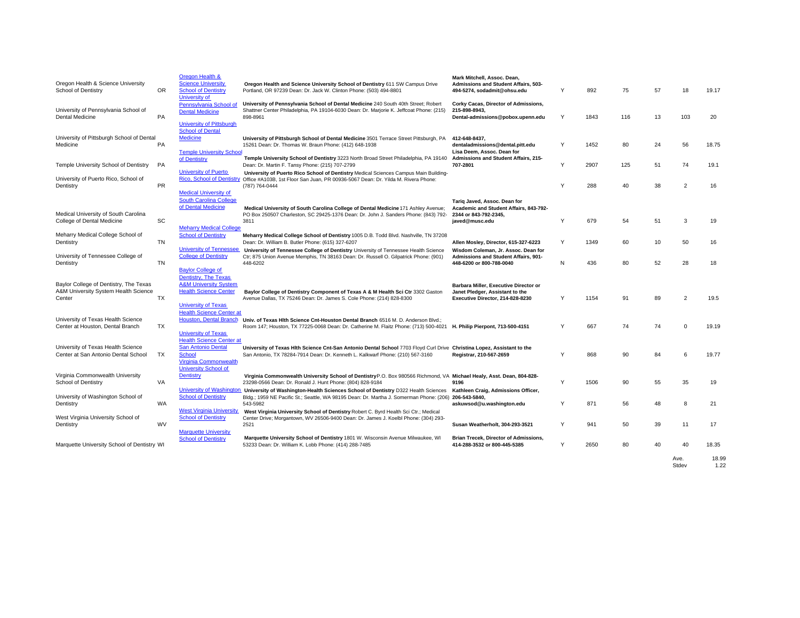| Oregon Health & Science University<br><b>School of Dentistry</b>                         | OR.       | Oregon Health &<br><b>Science University</b><br><b>School of Dentistry</b><br>University of                                                               | Oregon Health and Science University School of Dentistry 611 SW Campus Drive<br>Portland, OR 97239 Dean: Dr. Jack W. Clinton Phone: (503) 494-8801                                                       | Mark Mitchell, Assoc. Dean,<br>Admissions and Student Affairs, 503-<br>494-5274, sodadmit@ohsu.edu                | Y | 892  | 75  | 57 | 18             | 19.17         |
|------------------------------------------------------------------------------------------|-----------|-----------------------------------------------------------------------------------------------------------------------------------------------------------|----------------------------------------------------------------------------------------------------------------------------------------------------------------------------------------------------------|-------------------------------------------------------------------------------------------------------------------|---|------|-----|----|----------------|---------------|
| University of Pennsylvania School of<br><b>Dental Medicine</b>                           | PA        | Pennsylvania School of<br><b>Dental Medicine</b><br><b>University of Pittsburgh</b>                                                                       | University of Pennsylvania School of Dental Medicine 240 South 40th Street; Robert<br>Shattner Center Philadelphia, PA 19104-6030 Dean: Dr. Marjorie K. Jeffcoat Phone: (215)<br>898-8961                | Corky Cacas, Director of Admissions,<br>215-898-8943.<br>Dental-admissions@pobox.upenn.edu                        | Y | 1843 | 116 | 13 | 103            | 20            |
| University of Pittsburgh School of Dental<br>Medicine                                    | PA        | <b>School of Dental</b><br>Medicine<br><b>Temple University School</b>                                                                                    | University of Pittsburgh School of Dental Medicine 3501 Terrace Street Pittsburgh, PA<br>15261 Dean: Dr. Thomas W. Braun Phone: (412) 648-1938                                                           | 412-648-8437,<br>dentaladmissions@dental.pitt.edu<br>Lisa Deem, Assoc. Dean for                                   | Y | 1452 | 80  | 24 | 56             | 18.75         |
| Temple University School of Dentistry                                                    | PA        | of Dentistry                                                                                                                                              | Temple University School of Dentistry 3223 North Broad Street Philadelphia, PA 19140<br>Dean: Dr. Martin F. Tansy Phone: (215) 707-2799                                                                  | Admissions and Student Affairs, 215-<br>707-2801                                                                  | Y | 2907 | 125 | 51 | 74             | 19.1          |
| University of Puerto Rico, School of<br>Dentistry                                        | <b>PR</b> | University of Puerto<br><b>Rico. School of Dentistry</b><br><b>Medical University of</b>                                                                  | University of Puerto Rico School of Dentistry Medical Sciences Campus Main Building-<br>Office #A103B, 1st Floor San Juan, PR 00936-5067 Dean: Dr. Yilda M. Rivera Phone:<br>(787) 764-0444              |                                                                                                                   | Y | 288  | 40  | 38 | $\overline{2}$ | 16            |
| Medical University of South Carolina<br>College of Dental Medicine                       | SC        | <b>South Carolina College</b><br>of Dental Medicine                                                                                                       | Medical University of South Carolina College of Dental Medicine 171 Ashley Avenue;<br>PO Box 250507 Charleston, SC 29425-1376 Dean: Dr. John J. Sanders Phone: (843) 792-<br>3811                        | Tariq Javed, Assoc. Dean for<br>Academic and Student Affairs, 843-792-<br>2344 or 843-792-2345,<br>javed@musc.edu | Y | 679  | 54  | 51 | 3              | 19            |
| Meharry Medical College School of<br>Dentistry                                           | TN        | <b>Meharry Medical College</b><br><b>School of Dentistry</b>                                                                                              | Meharry Medical College School of Dentistry 1005 D.B. Todd Blvd. Nashville, TN 37208<br>Dean: Dr. William B. Butler Phone: (615) 327-6207                                                                | Allen Mosley, Director, 615-327-6223                                                                              | Y | 1349 | 60  | 10 | 50             | 16            |
| University of Tennessee College of<br>Dentistry                                          | TN        | <b>University of Tennessee</b><br><b>College of Dentistry</b><br><b>Bavlor College of</b>                                                                 | University of Tennessee College of Dentistry University of Tennessee Health Science<br>Ctr; 875 Union Avenue Memphis, TN 38163 Dean: Dr. Russell O. Gilpatrick Phone: (901)<br>448-6202                  | Wisdom Coleman, Jr. Assoc. Dean for<br><b>Admissions and Student Affairs, 901-</b><br>448-6200 or 800-788-0040    | N | 436  | 80  | 52 | 28             | 18            |
| Baylor College of Dentistry, The Texas<br>A&M University System Health Science<br>Center | <b>TX</b> | Dentistry, The Texas<br><b>A&amp;M University System</b><br><b>Health Science Center</b><br><b>University of Texas</b><br><b>Health Science Center at</b> | Baylor College of Dentistry Component of Texas A & M Health Sci Ctr 3302 Gaston<br>Avenue Dallas, TX 75246 Dean: Dr. James S. Cole Phone: (214) 828-8300                                                 | Barbara Miller, Executive Director or<br>Janet Pledger, Assistant to the<br>Executive Director, 214-828-8230      | Y | 1154 | 91  | 89 | 2              | 19.5          |
| University of Texas Health Science<br>Center at Houston, Dental Branch                   | TX        | <b>Houston, Dental Branch</b><br><b>University of Texas</b>                                                                                               | Univ. of Texas Hith Science Cnt-Houston Dental Branch 6516 M. D. Anderson Blvd.;<br>Room 147; Houston, TX 77225-0068 Dean: Dr. Catherine M. Flaitz Phone: (713) 500-4021                                 | H. Philip Pierpont, 713-500-4151                                                                                  | Y | 667  | 74  | 74 | $\Omega$       | 19.19         |
| University of Texas Health Science<br>Center at San Antonio Dental School                | <b>TX</b> | <b>Health Science Center at</b><br><b>San Antonio Dental</b><br><b>School</b><br>Virginia Commonwealth                                                    | University of Texas Hlth Science Cnt-San Antonio Dental School 7703 Floyd Curl Drive Christina Lopez, Assistant to the<br>San Antonio, TX 78284-7914 Dean: Dr. Kenneth L. Kalkwarf Phone: (210) 567-3160 | Registrar, 210-567-2659                                                                                           | Y | 868  | 90  | 84 | 6              | 19.77         |
| Virginia Commonwealth University<br><b>School of Dentistry</b>                           | VA        | <b>University School of</b><br><b>Dentistry</b><br>University of Washington                                                                               | Virginia Commonwealth University School of Dentistry P.O. Box 980566 Richmond, VA Michael Healy, Asst. Dean, 804-828-<br>23298-0566 Dean: Dr. Ronald J. Hunt Phone: (804) 828-9184                       | 9196                                                                                                              | Y | 1506 | 90  | 55 | 35             | 19            |
| University of Washington School of<br>Dentistry                                          | WA        | <b>School of Dentistry</b>                                                                                                                                | University of Washington-Health Sciences School of Dentistry D322 Health Sciences<br>Bldg.; 1959 NE Pacific St.; Seattle, WA 98195 Dean: Dr. Martha J. Somerman Phone: (206)<br>543-5982                 | Kathleen Craig, Admissions Officer,<br>206-543-5840.<br>askuwsod@u.washington.edu                                 | Y | 871  | 56  | 48 | 8              | 21            |
| West Virginia University School of<br>Dentistry                                          | <b>WV</b> | <b>West Virginia University</b><br><b>School of Dentistry</b>                                                                                             | West Virginia University School of Dentistry Robert C. Byrd Health Sci Ctr.; Medical<br>Center Drive; Morgantown, WV 26506-9400 Dean: Dr. James J. Koelbl Phone: (304) 293-<br>2521                      | Susan Weatherholt, 304-293-3521                                                                                   | Y | 941  | 50  | 39 | 11             | 17            |
| Marquette University School of Dentistry WI                                              |           | <b>Marquette University</b><br><b>School of Dentistry</b>                                                                                                 | Marquette University School of Dentistry 1801 W. Wisconsin Avenue Milwaukee, WI<br>53233 Dean: Dr. William K. Lobb Phone: (414) 288-7485                                                                 | Brian Trecek, Director of Admissions,<br>414-288-3532 or 800-445-5385                                             | Y | 2650 | 80  | 40 | 40             | 18.35         |
|                                                                                          |           |                                                                                                                                                           |                                                                                                                                                                                                          |                                                                                                                   |   |      |     |    | Ave.<br>Stdev  | 18.99<br>1.22 |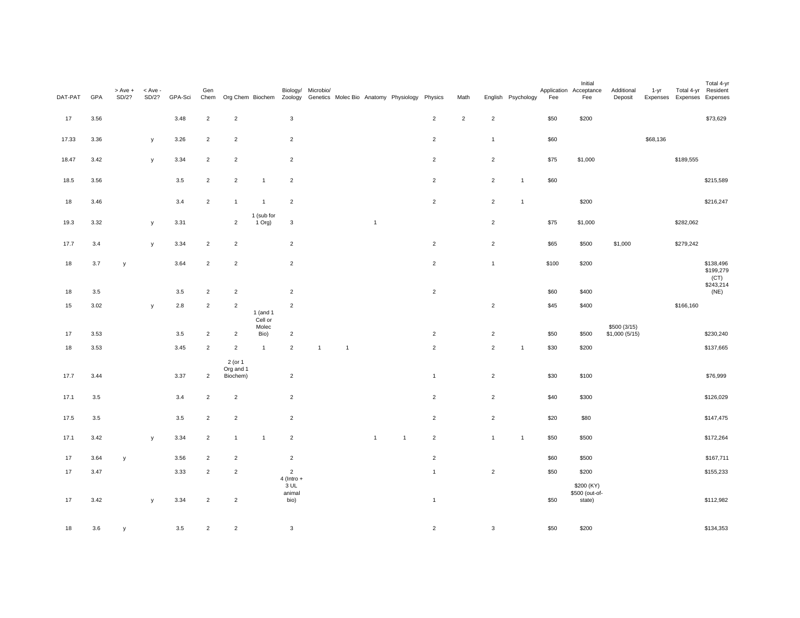| DAT-PAT | GPA     | > Ave +<br>SD/2? | $<$ Ave -<br>SD/2? | GPA-Sci | Gen            | Chem Org Chem Biochem Zoology Genetics Molec Bio Anatomy Physiology Physics |                         |                                        | Biology/ Microbio/ |                |                |              |                | Math       |                | English Psychology | Fee   | Initial<br>Application Acceptance<br>Fee | Additional<br>Deposit         | 1-yr     | Expenses Expenses Expenses | Total 4-yr<br>Total 4-yr Resident |
|---------|---------|------------------|--------------------|---------|----------------|-----------------------------------------------------------------------------|-------------------------|----------------------------------------|--------------------|----------------|----------------|--------------|----------------|------------|----------------|--------------------|-------|------------------------------------------|-------------------------------|----------|----------------------------|-----------------------------------|
| 17      | 3.56    |                  |                    | 3.48    | $\overline{2}$ | $\overline{a}$                                                              |                         | $\mathbf 3$                            |                    |                |                |              | $\overline{2}$ | $\sqrt{2}$ | $\sqrt{2}$     |                    | \$50  | \$200                                    |                               |          |                            | \$73,629                          |
| 17.33   | 3.36    |                  | у                  | 3.26    | $\overline{2}$ | $\overline{2}$                                                              |                         | $\overline{2}$                         |                    |                |                |              | $\overline{2}$ |            | $\mathbf{1}$   |                    | \$60  |                                          |                               | \$68,136 |                            |                                   |
| 18.47   | 3.42    |                  | у                  | 3.34    | $\overline{2}$ | $\overline{2}$                                                              |                         | $\overline{2}$                         |                    |                |                |              | $\overline{2}$ |            | $\overline{2}$ |                    | \$75  | \$1,000                                  |                               |          | \$189,555                  |                                   |
| 18.5    | 3.56    |                  |                    | 3.5     | $\overline{2}$ | $\overline{2}$                                                              | $\overline{1}$          | $\sqrt{2}$                             |                    |                |                |              | $\overline{2}$ |            | $\overline{2}$ | $\overline{1}$     | \$60  |                                          |                               |          |                            | \$215,589                         |
| 18      | 3.46    |                  |                    | 3.4     | $\overline{2}$ | $\mathbf{1}$                                                                | $\overline{1}$          | $\overline{2}$                         |                    |                |                |              | $\overline{2}$ |            | $\overline{2}$ | $\overline{1}$     |       | \$200                                    |                               |          |                            | \$216,247                         |
| 19.3    | 3.32    |                  | у                  | 3.31    |                | $\overline{2}$                                                              | 1 (sub for<br>1 Org)    | $_{\rm 3}$                             |                    |                | $\overline{1}$ |              |                |            | $\overline{2}$ |                    | \$75  | \$1,000                                  |                               |          | \$282,062                  |                                   |
| 17.7    | 3.4     |                  | у                  | 3.34    | $\overline{2}$ | $\overline{c}$                                                              |                         | $\overline{2}$                         |                    |                |                |              | $\overline{2}$ |            | $\overline{2}$ |                    | \$65  | \$500                                    | \$1,000                       |          | \$279,242                  |                                   |
| 18      | 3.7     | y                |                    | 3.64    | $\overline{2}$ | $\overline{2}$                                                              |                         | $\overline{2}$                         |                    |                |                |              | $\overline{2}$ |            | $\mathbf{1}$   |                    | \$100 | \$200                                    |                               |          |                            | \$138,496<br>\$199,279            |
|         |         |                  |                    |         |                |                                                                             |                         |                                        |                    |                |                |              |                |            |                |                    |       |                                          |                               |          |                            | (CT)<br>\$243,214<br>(NE)         |
| 18      | $3.5\,$ |                  |                    | 3.5     | $\overline{2}$ | $\overline{c}$                                                              |                         | $\overline{2}$                         |                    |                |                |              | $\overline{2}$ |            |                |                    | \$60  | \$400                                    |                               |          |                            |                                   |
| 15      | 3.02    |                  | у                  | $2.8\,$ | $\overline{2}$ | $\overline{c}$                                                              | $1$ (and $1$<br>Cell or | $\overline{2}$                         |                    |                |                |              |                |            | $\mathbf 2$    |                    | \$45  | \$400                                    |                               |          | \$166,160                  |                                   |
| 17      | 3.53    |                  |                    | 3.5     | $\overline{2}$ | $\overline{c}$                                                              | Molec<br>Bio)           | $\sqrt{2}$                             |                    |                |                |              | $\overline{2}$ |            | $\overline{2}$ |                    | \$50  | \$500                                    | \$500 (3/15)<br>\$1,000(5/15) |          |                            | \$230,240                         |
| 18      | 3.53    |                  |                    | 3.45    | $\overline{2}$ | $\overline{2}$                                                              | $\overline{1}$          | $\overline{2}$                         | $\overline{1}$     | $\overline{1}$ |                |              | $\overline{2}$ |            | $\overline{2}$ | $\overline{1}$     | \$30  | \$200                                    |                               |          |                            | \$137,665                         |
| 17.7    | 3.44    |                  |                    | 3.37    | $\overline{2}$ | 2 (or 1<br>Org and 1<br>Biochem)                                            |                         | $\overline{2}$                         |                    |                |                |              | $\overline{1}$ |            | $\overline{2}$ |                    | \$30  | \$100                                    |                               |          |                            | \$76,999                          |
| 17.1    | 3.5     |                  |                    | 3.4     | $\overline{2}$ | $\overline{2}$                                                              |                         | $\overline{2}$                         |                    |                |                |              | $\overline{2}$ |            | $\overline{2}$ |                    | \$40  | \$300                                    |                               |          |                            | \$126,029                         |
| 17.5    | 3.5     |                  |                    | $3.5\,$ | $\overline{2}$ | $\overline{2}$                                                              |                         | $\overline{2}$                         |                    |                |                |              | $\overline{2}$ |            | $\overline{2}$ |                    | \$20  | \$80                                     |                               |          |                            | \$147,475                         |
| 17.1    | 3.42    |                  | y                  | 3.34    | $\overline{2}$ | $\mathbf{1}$                                                                | $\overline{1}$          | $\overline{2}$                         |                    |                | $\overline{1}$ | $\mathbf{1}$ | $\overline{2}$ |            | $\mathbf{1}$   | $\overline{1}$     | \$50  | \$500                                    |                               |          |                            | \$172,264                         |
| 17      | 3.64    | $\mathsf{y}$     |                    | 3.56    | $\overline{2}$ | $\overline{2}$                                                              |                         | $\sqrt{2}$                             |                    |                |                |              | $\overline{2}$ |            |                |                    | \$60  | \$500                                    |                               |          |                            | \$167,711                         |
| 17      | 3.47    |                  |                    | 3.33    | $\overline{2}$ | $\overline{2}$                                                              |                         | $\overline{2}$                         |                    |                |                |              | $\mathbf{1}$   |            | $\overline{2}$ |                    | \$50  | \$200                                    |                               |          |                            | \$155,233                         |
| 17      | 3.42    |                  | y                  | 3.34    | $\overline{2}$ | $\overline{2}$                                                              |                         | $4$ (Intro +<br>3 UL<br>animal<br>bio) |                    |                |                |              | $\overline{1}$ |            |                |                    | \$50  | \$200 (KY)<br>\$500 (out-of-<br>state)   |                               |          |                            | \$112,982                         |
| 18      | 3.6     | v                |                    | 3.5     | $\overline{2}$ | $\overline{2}$                                                              |                         | $\mathbf{3}$                           |                    |                |                |              | $\overline{2}$ |            | $\mathbf{3}$   |                    | \$50  | \$200                                    |                               |          |                            | \$134,353                         |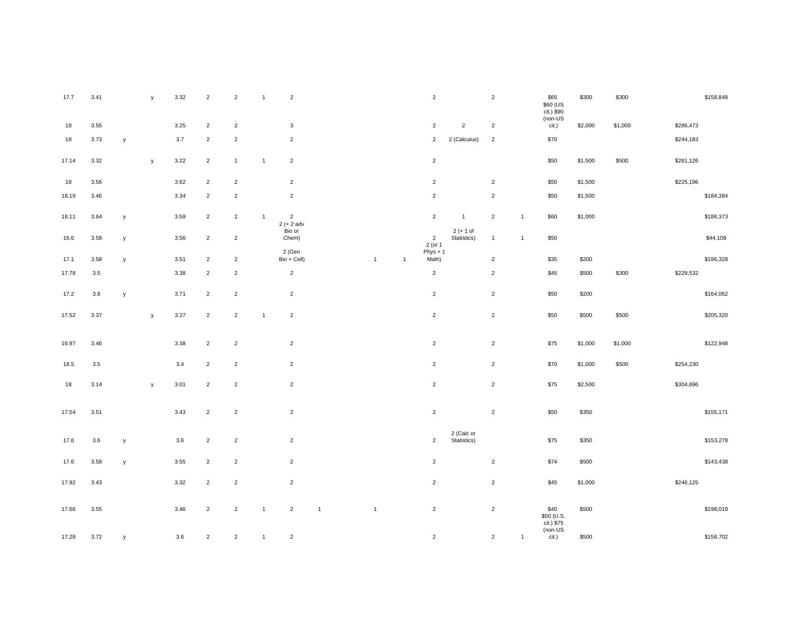| 17.7  | 3.41    |              | y | 3.32 | $\overline{2}$ | $\overline{2}$ | $\overline{1}$ | $\overline{2}$                  |                |                |              | $\overline{2}$            |                            | $\overline{2}$ |              | \$65<br>\$60 (US<br>$\frac{1}{100}$ (i.) \$90 | \$300   | \$300   |           | \$158,848 |
|-------|---------|--------------|---|------|----------------|----------------|----------------|---------------------------------|----------------|----------------|--------------|---------------------------|----------------------------|----------------|--------------|-----------------------------------------------|---------|---------|-----------|-----------|
| 18    | 3.55    |              |   | 3.25 | $\overline{2}$ | $\sqrt{2}$     |                | $\mathbf{3}$                    |                |                |              | $\mathbf 2$               | $\overline{2}$             | $\mathbf 2$    |              | cit.)                                         | \$2,000 | \$1,000 | \$286,473 |           |
| 18    | 3.73    | y            |   | 3.7  | $\overline{2}$ | $\overline{2}$ |                | $\overline{2}$                  |                |                |              | $\overline{2}$            | 2 (Calculus)               | $\overline{2}$ |              | \$70                                          |         |         | \$244,183 |           |
| 17.14 | 3.32    |              | y | 3.22 | $\overline{2}$ | $\overline{1}$ | $\overline{1}$ | $\overline{2}$                  |                |                |              | $\overline{2}$            |                            |                |              | \$50                                          | \$1,500 | \$500   | \$281,126 |           |
| 18    | 3.56    |              |   | 3.62 | $\overline{c}$ | $\overline{c}$ |                | $\overline{2}$                  |                |                |              | $\overline{2}$            |                            | $\overline{c}$ |              | \$50                                          | \$1,500 |         | \$225,196 |           |
| 18.19 | 3.46    |              |   | 3.34 | $\overline{c}$ | $\mathbf 2$    |                | $\overline{2}$                  |                |                |              | $\overline{2}$            |                            | $\overline{c}$ |              | \$50                                          | \$1,500 |         |           | \$184,384 |
| 18.11 | 3.64    | у            |   | 3.59 | $\overline{2}$ | $\overline{2}$ | $\overline{1}$ | $\overline{2}$<br>$2 (+ 2 adv)$ |                |                |              | $\overline{2}$            | $\overline{1}$             | $\overline{2}$ | $\mathbf{1}$ | \$60                                          | \$1,000 |         |           | \$188,373 |
| 16.6  | 3.58    | у            |   | 3.56 | $\overline{c}$ | $\overline{2}$ |                | Bio or<br>Chem)                 |                |                |              | $\overline{2}$<br>2 (or 1 | $2 (+ 1 of$<br>Statistics) | $\mathbf{1}$   | $\mathbf{1}$ | \$50                                          |         |         |           | \$44,108  |
| 17.1  | 3.58    | $\mathsf{y}$ |   | 3.51 | $\overline{2}$ | $\overline{2}$ |                | 2 (Gen<br>$Bio + Cell)$         |                | $\overline{1}$ | $\mathbf{1}$ | $Phys + 1$<br>Math)       |                            | $\overline{2}$ |              | \$35                                          | \$200   |         |           | \$196,328 |
| 17.78 | 3.5     |              |   | 3.38 | $\overline{c}$ | $\overline{c}$ |                | $\overline{2}$                  |                |                |              | $\sqrt{2}$                |                            | $\overline{2}$ |              | \$45                                          | \$500   | \$300   | \$229,532 |           |
| 17.2  | 3.8     | $\mathsf{y}$ |   | 3.71 | $\overline{2}$ | $\overline{2}$ |                | $\overline{2}$                  |                |                |              | $\overline{2}$            |                            | $\overline{2}$ |              | \$50                                          | \$200   |         |           | \$164,062 |
|       |         |              |   |      |                |                | $\overline{1}$ |                                 |                |                |              | $\overline{2}$            |                            | $\overline{2}$ |              |                                               |         |         |           |           |
| 17.52 | 3.37    |              | у | 3.27 | $\overline{2}$ | 2              |                | $\overline{2}$                  |                |                |              |                           |                            |                |              | \$50                                          | \$500   | \$500   |           | \$205,320 |
| 16.97 | 3.46    |              |   | 3.38 | $\overline{2}$ | $\overline{2}$ |                | $\overline{2}$                  |                |                |              | $\overline{2}$            |                            | $\overline{2}$ |              | \$75                                          | \$1,000 | \$1,000 |           | \$122,948 |
| 18.5  | $3.5\,$ |              |   | 3.4  | $\overline{2}$ | $\mathbf 2$    |                | $\overline{2}$                  |                |                |              | $\overline{2}$            |                            | $\overline{2}$ |              | \$70                                          | \$1,000 | \$500   | \$254,230 |           |
| 18    | 3.14    |              | y | 3.01 | $\overline{2}$ | $\overline{c}$ |                | $\overline{2}$                  |                |                |              | $\overline{2}$            |                            | $\overline{2}$ |              | \$75                                          | \$2,500 |         | \$304,696 |           |
|       |         |              |   |      |                |                |                |                                 |                |                |              |                           |                            |                |              |                                               |         |         |           |           |
| 17.54 | 3.51    |              |   | 3.43 | $\overline{2}$ | $\overline{2}$ |                | $\overline{2}$                  |                |                |              | $\overline{2}$            |                            | $\overline{2}$ |              | \$50                                          | \$350   |         |           | \$155,171 |
| 17.6  | 3.6     | у            |   | 3.6  | $\overline{2}$ | $\overline{2}$ |                | $\overline{2}$                  |                |                |              | $\overline{2}$            | 2 (Calc or<br>Statistics)  |                |              | \$75                                          | \$350   |         |           | \$153,278 |
| 17.6  | 3.58    | $\mathsf{y}$ |   | 3.55 | $\overline{2}$ | $\overline{2}$ |                | $\overline{2}$                  |                |                |              | $\overline{2}$            |                            | $\overline{2}$ |              | \$74                                          | \$500   |         |           | \$143,438 |
| 17.92 | 3.43    |              |   | 3.32 | $\overline{2}$ | $\overline{c}$ |                | $\overline{2}$                  |                |                |              | $\overline{2}$            |                            | $\overline{2}$ |              | \$45                                          | \$1,000 |         | \$246,125 |           |
|       |         |              |   |      |                |                |                |                                 |                |                |              |                           |                            |                |              |                                               |         |         |           |           |
| 17.66 | 3.55    |              |   | 3.46 | $\overline{2}$ | $\overline{2}$ | $\overline{1}$ | $\overline{2}$                  | $\overline{1}$ | $\overline{1}$ |              | $\overline{2}$            |                            | $\overline{2}$ |              | \$40<br>\$50 (U.S.                            | \$500   |         |           | \$198,019 |
| 17.28 | 3.72    | $\mathsf{v}$ |   | 3.6  | $\overline{2}$ | $\overline{c}$ | $\mathbf{1}$   | $\overline{2}$                  |                |                |              | $\overline{2}$            |                            | $\overline{2}$ | $\mathbf{1}$ | cit.) \$75<br>(non-US<br>cit.)                | \$500   |         |           | \$158,702 |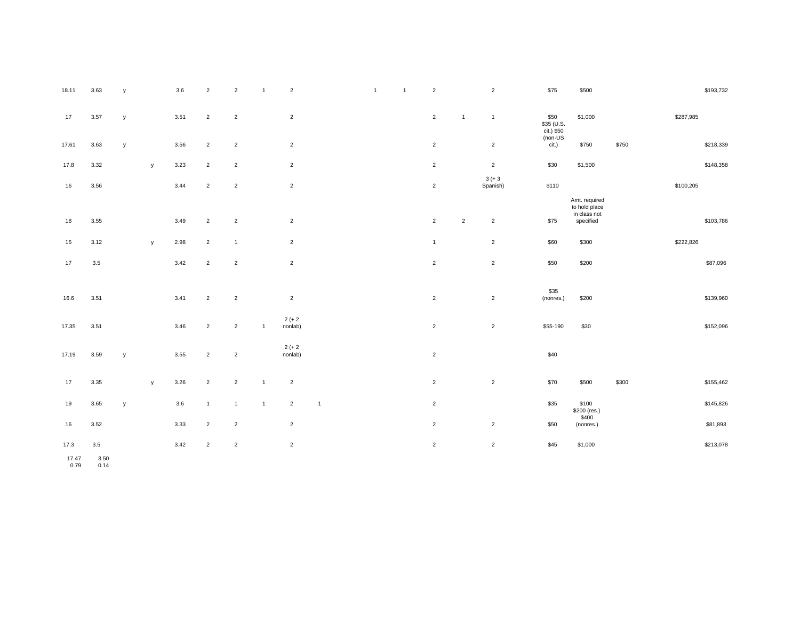| 17            | 3.57        | у |              | 3.51 | $\overline{2}$ | $\overline{2}$ |                | $\overline{c}$       |                |  | $\overline{2}$ | $\overline{1}$ | $\mathbf{1}$          | \$50<br>\$35 (U.S.<br>cit.) \$50 | \$1,000                                                     |       | \$287,985 |           |
|---------------|-------------|---|--------------|------|----------------|----------------|----------------|----------------------|----------------|--|----------------|----------------|-----------------------|----------------------------------|-------------------------------------------------------------|-------|-----------|-----------|
| 17.61         | 3.63        | У |              | 3.56 | $\overline{2}$ | $\overline{2}$ |                | $\overline{2}$       |                |  | $\overline{2}$ |                | $\overline{2}$        | $non-US$<br>cit.)                | \$750                                                       | \$750 |           | \$218,339 |
| 17.8          | 3.32        |   | $\mathsf{y}$ | 3.23 | $\overline{2}$ | $\overline{2}$ |                | $\overline{2}$       |                |  | $\overline{2}$ |                | $\overline{2}$        | \$30                             | \$1,500                                                     |       |           | \$148,358 |
| 16            | 3.56        |   |              | 3.44 | $\overline{2}$ | $\overline{2}$ |                | $\overline{2}$       |                |  | $\overline{2}$ |                | $3 (+ 3)$<br>Spanish) | \$110                            |                                                             |       | \$100,205 |           |
| 18            | 3.55        |   |              | 3.49 | $\overline{2}$ | $\sqrt{2}$     |                | $\overline{2}$       |                |  | $\sqrt{2}$     | $\overline{2}$ | $\sqrt{2}$            | \$75                             | Amt. required<br>to hold place<br>in class not<br>specified |       |           | \$103,786 |
| 15            | 3.12        |   | y            | 2.98 | $\overline{2}$ | $\overline{1}$ |                | $\overline{2}$       |                |  | $\mathbf{1}$   |                | $\overline{2}$        | \$60                             | \$300                                                       |       | \$222,826 |           |
| 17            | 3.5         |   |              | 3.42 | $\overline{2}$ | $\overline{2}$ |                | $\overline{2}$       |                |  | $\sqrt{2}$     |                | $\overline{2}$        | \$50                             | \$200                                                       |       |           | \$87,096  |
| 16.6          | 3.51        |   |              | 3.41 | $\overline{2}$ | $\overline{2}$ |                | $\overline{2}$       |                |  | $\overline{2}$ |                | $\overline{2}$        | \$35<br>(nonres.)                | \$200                                                       |       |           | \$139,960 |
| 17.35         | 3.51        |   |              | 3.46 | $\overline{2}$ | $\overline{2}$ | $\overline{1}$ | $2 (+ 2)$<br>nonlab) |                |  | $\mathbf 2$    |                | $\sqrt{2}$            | \$55-190                         | \$30                                                        |       |           | \$152,096 |
| 17.19         | 3.59        | У |              | 3.55 | $\overline{2}$ | 2              |                | $2 (+ 2)$<br>nonlab) |                |  | $\mathbf 2$    |                |                       | \$40                             |                                                             |       |           |           |
| 17            | 3.35        |   | y            | 3.26 | $\overline{2}$ | $\overline{2}$ | $\overline{1}$ | $\overline{2}$       |                |  | $\sqrt{2}$     |                | $\overline{2}$        | \$70                             | \$500                                                       | \$300 |           | \$155,462 |
| 19            | 3.65        | У |              | 3.6  | $\overline{1}$ | $\overline{1}$ | $\overline{1}$ | $\overline{2}$       | $\overline{1}$ |  | $\sqrt{2}$     |                |                       | \$35                             | \$100<br>\$200 (res.)                                       |       |           | \$145,826 |
| 16            | 3.52        |   |              | 3.33 | $\overline{2}$ | $\overline{2}$ |                | $\overline{2}$       |                |  | $\overline{2}$ |                | $\overline{2}$        | \$50                             | \$400<br>(nonres.)                                          |       |           | \$81,893  |
| 17.3<br>17.47 | 3.5<br>3.50 |   |              | 3.42 | $\overline{2}$ | $\overline{2}$ |                | $\overline{2}$       |                |  | $\sqrt{2}$     |                | $\sqrt{2}$            | \$45                             | \$1,000                                                     |       |           | \$213,078 |

0.79 0.14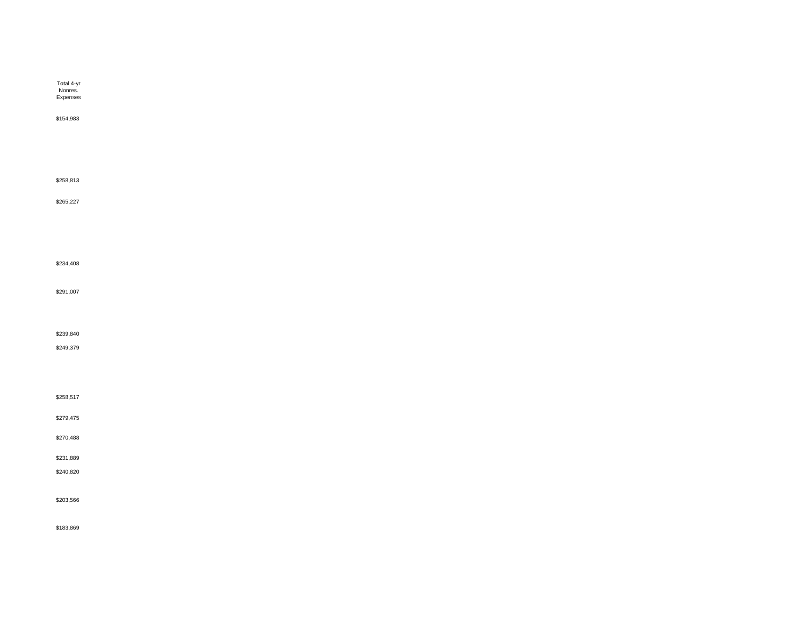| Total 4-yr<br>Nonres.<br>Expenses |  |  |  |
|-----------------------------------|--|--|--|
| \$154,983                         |  |  |  |
|                                   |  |  |  |
|                                   |  |  |  |
| \$258,813                         |  |  |  |
| \$265,227                         |  |  |  |
|                                   |  |  |  |
|                                   |  |  |  |
| \$234,408                         |  |  |  |
| \$291,007                         |  |  |  |
|                                   |  |  |  |
| \$239,840                         |  |  |  |
| \$249,379                         |  |  |  |
|                                   |  |  |  |
| \$258,517                         |  |  |  |
| \$279,475                         |  |  |  |
| \$270,488                         |  |  |  |
| \$231,889                         |  |  |  |
| \$240,820                         |  |  |  |
| \$203,566                         |  |  |  |
| \$183,869                         |  |  |  |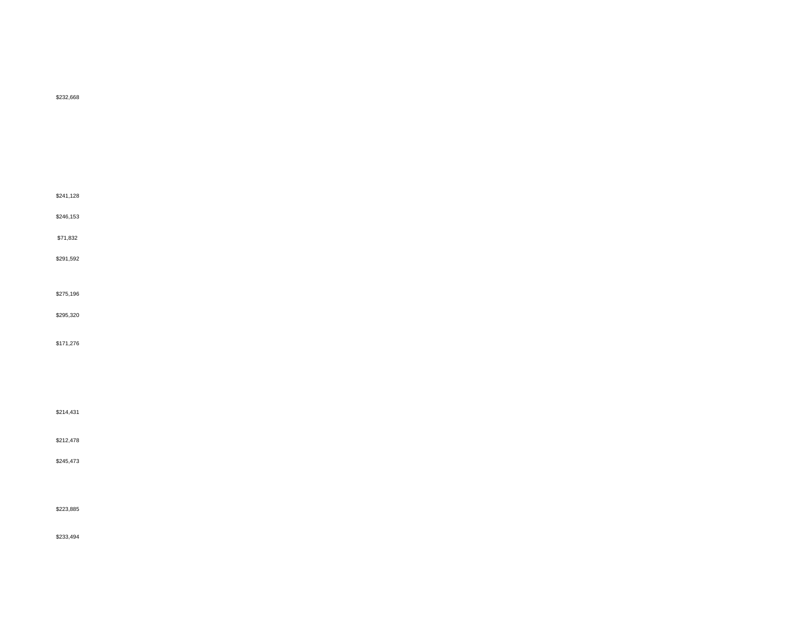\$232,668 \$241,128 \$246,153 \$71,832 \$291,592 \$275,196 \$295,320 \$171,276 \$214,431 \$212,478 \$245,473 \$223,885

\$233,494